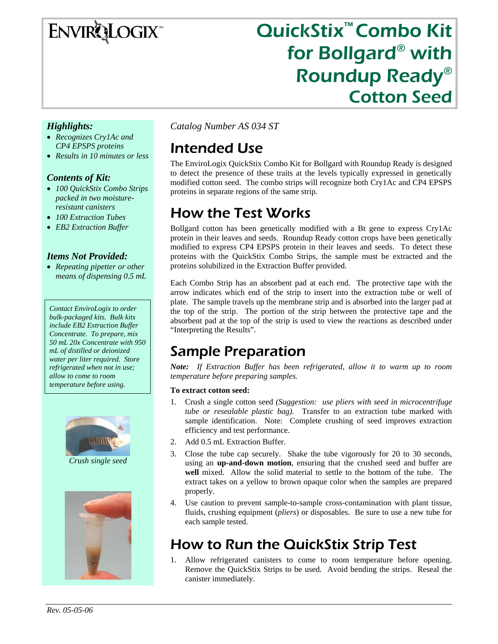**ENVIRQLOGIX** 

# QuickStix™ Combo Kit for Bollgard® with Roundup Ready® Cotton Seed

### *Highlights:*

- *Recognizes Cry1Ac and CP4 EPSPS proteins*
- *Results in 10 minutes or less*

### *Contents of Kit:*

- *100 QuickStix Combo Strips packed in two moistureresistant canisters*
- *100 Extraction Tubes*
- *EB2 Extraction Buffer*

### *Items Not Provided:*

• *Repeating pipetter or other means of dispensing 0.5 mL* 

*Contact EnviroLogix to order bulk-packaged kits. Bulk kits include EB2 Extraction Buffer Concentrate. To prepare, mix 50 mL 20x Concentrate with 950 mL of distilled or deionized water per liter required. Store refrigerated when not in use; allow to come to room temperature before using.* 



*Crush single seed* 



*Catalog Number AS 034 ST* 

# Intended Use

The EnviroLogix QuickStix Combo Kit for Bollgard with Roundup Ready is designed to detect the presence of these traits at the levels typically expressed in genetically modified cotton seed. The combo strips will recognize both Cry1Ac and CP4 EPSPS proteins in separate regions of the same strip.

# How the Test Works

Bollgard cotton has been genetically modified with a Bt gene to express Cry1Ac protein in their leaves and seeds. Roundup Ready cotton crops have been genetically modified to express CP4 EPSPS protein in their leaves and seeds. To detect these proteins with the QuickStix Combo Strips, the sample must be extracted and the proteins solubilized in the Extraction Buffer provided.

Each Combo Strip has an absorbent pad at each end. The protective tape with the arrow indicates which end of the strip to insert into the extraction tube or well of plate. The sample travels up the membrane strip and is absorbed into the larger pad at the top of the strip. The portion of the strip between the protective tape and the absorbent pad at the top of the strip is used to view the reactions as described under "Interpreting the Results".

### Sample Preparation

*Note: If Extraction Buffer has been refrigerated, allow it to warm up to room temperature before preparing samples.* 

#### **To extract cotton seed:**

- 1. Crush a single cotton seed *(Suggestion: use pliers with seed in microcentrifuge tube or resealable plastic bag).* Transfer to an extraction tube marked with sample identification. Note: Complete crushing of seed improves extraction efficiency and test performance.
- 2. Add 0.5 mL Extraction Buffer.
- 3. Close the tube cap securely. Shake the tube vigorously for 20 to 30 seconds, using an **up-and-down motion**, ensuring that the crushed seed and buffer are **well** mixed. Allow the solid material to settle to the bottom of the tube. The extract takes on a yellow to brown opaque color when the samples are prepared properly.
- 4. Use caution to prevent sample-to-sample cross-contamination with plant tissue, fluids, crushing equipment (*pliers*) or disposables. Be sure to use a new tube for each sample tested.

# How to Run the QuickStix Strip Test

Allow refrigerated canisters to come to room temperature before opening. Remove the QuickStix Strips to be used. Avoid bending the strips. Reseal the canister immediately.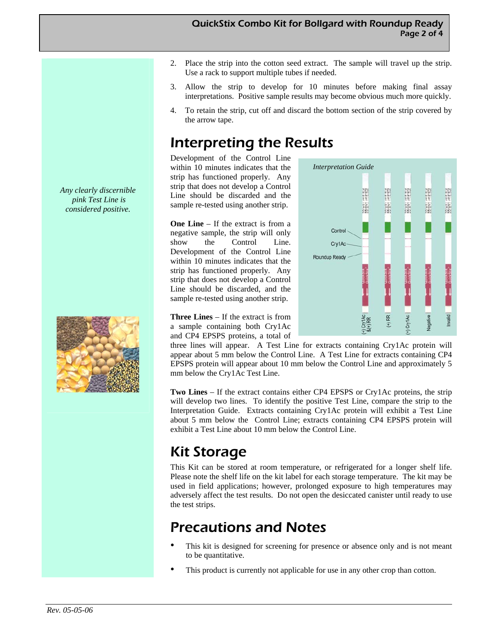- 2. Place the strip into the cotton seed extract. The sample will travel up the strip. Use a rack to support multiple tubes if needed.
- 3. Allow the strip to develop for 10 minutes before making final assay interpretations. Positive sample results may become obvious much more quickly.
- 4. To retain the strip, cut off and discard the bottom section of the strip covered by the arrow tape.

*Interpretation Guide* 

Control Cry1Ac Roundup Ready Avery Let Britis

**CONTRACT** 

 $(+)$  RR

 $\frac{1}{8(+)}$  RR

**EXAMPLE OF STREET** 

Weyl at this

# Interpreting the Results

Development of the Control Line within 10 minutes indicates that the strip has functioned properly. Any strip that does not develop a Control Line should be discarded and the sample re-tested using another strip.

**One Line** – If the extract is from a negative sample, the strip will only show the Control Line. Development of the Control Line within 10 minutes indicates that the strip has functioned properly. Any strip that does not develop a Control Line should be discarded, and the sample re-tested using another strip.

**Three Lines** – If the extract is from a sample containing both Cry1Ac and CP4 EPSPS proteins, a total of

three lines will appear. A Test Line for extracts containing Cry1Ac protein will appear about 5 mm below the Control Line. A Test Line for extracts containing CP4 EPSPS protein will appear about 10 mm below the Control Line and approximately 5 mm below the Cry1Ac Test Line.

**Two Lines** – If the extract contains either CP4 EPSPS or Cry1Ac proteins, the strip will develop two lines. To identify the positive Test Line, compare the strip to the Interpretation Guide. Extracts containing Cry1Ac protein will exhibit a Test Line about 5 mm below the Control Line; extracts containing CP4 EPSPS protein will exhibit a Test Line about 10 mm below the Control Line.

# Kit Storage

This Kit can be stored at room temperature, or refrigerated for a longer shelf life. Please note the shelf life on the kit label for each storage temperature. The kit may be used in field applications; however, prolonged exposure to high temperatures may adversely affect the test results. Do not open the desiccated canister until ready to use the test strips.

# Precautions and Notes

- This kit is designed for screening for presence or absence only and is not meant to be quantitative.
- This product is currently not applicable for use in any other crop than cotton.

*Any clearly discernible pink Test Line is considered positive.* 

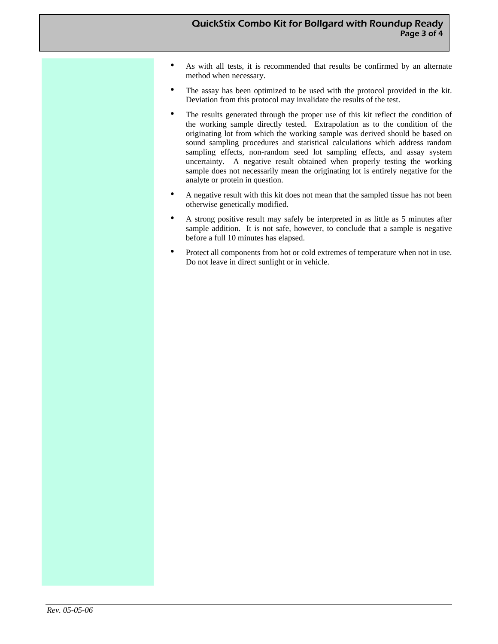- As with all tests, it is recommended that results be confirmed by an alternate method when necessary.
- The assay has been optimized to be used with the protocol provided in the kit. Deviation from this protocol may invalidate the results of the test.
- The results generated through the proper use of this kit reflect the condition of the working sample directly tested. Extrapolation as to the condition of the originating lot from which the working sample was derived should be based on sound sampling procedures and statistical calculations which address random sampling effects, non-random seed lot sampling effects, and assay system uncertainty. A negative result obtained when properly testing the working sample does not necessarily mean the originating lot is entirely negative for the analyte or protein in question.
- A negative result with this kit does not mean that the sampled tissue has not been otherwise genetically modified.
- A strong positive result may safely be interpreted in as little as 5 minutes after sample addition. It is not safe, however, to conclude that a sample is negative before a full 10 minutes has elapsed.
- Protect all components from hot or cold extremes of temperature when not in use. Do not leave in direct sunlight or in vehicle.